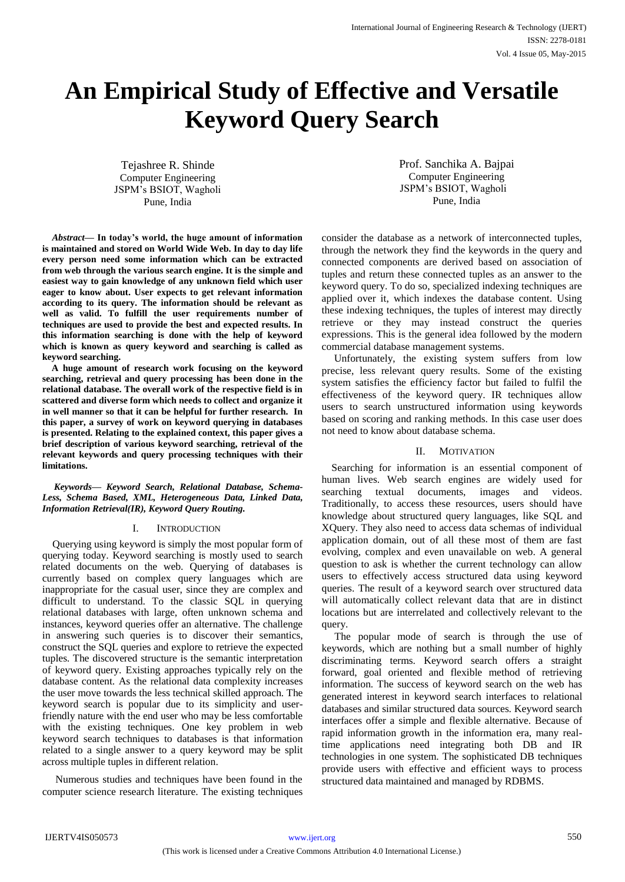# **An Empirical Study of Effective and Versatile Keyword Query Search**

Tejashree R. Shinde Computer Engineering JSPM's BSIOT, Wagholi Pune, India

Prof. Sanchika A. Bajpai Computer Engineering JSPM's BSIOT, Wagholi Pune, India

*Abstract***— In today's world, the huge amount of information is maintained and stored on World Wide Web. In day to day life every person need some information which can be extracted from web through the various search engine. It is the simple and easiest way to gain knowledge of any unknown field which user eager to know about. User expects to get relevant information according to its query. The information should be relevant as well as valid. To fulfill the user requirements number of techniques are used to provide the best and expected results. In this information searching is done with the help of keyword which is known as query keyword and searching is called as keyword searching.**

**A huge amount of research work focusing on the keyword searching, retrieval and query processing has been done in the relational database. The overall work of the respective field is in scattered and diverse form which needs to collect and organize it in well manner so that it can be helpful for further research. In this paper, a survey of work on keyword querying in databases is presented. Relating to the explained context, this paper gives a brief description of various keyword searching, retrieval of the relevant keywords and query processing techniques with their limitations.**

*Keywords— Keyword Search, Relational Database, Schema-Less, Schema Based, XML, Heterogeneous Data, Linked Data, Information Retrieval(IR), Keyword Query Routing.*

# I. INTRODUCTION

 Querying using keyword is simply the most popular form of querying today. Keyword searching is mostly used to search related documents on the web. Querying of databases is currently based on complex query languages which are inappropriate for the casual user, since they are complex and difficult to understand. To the classic SQL in querying relational databases with large, often unknown schema and instances, keyword queries offer an alternative. The challenge in answering such queries is to discover their semantics, construct the SQL queries and explore to retrieve the expected tuples. The discovered structure is the semantic interpretation of keyword query. Existing approaches typically rely on the database content. As the relational data complexity increases the user move towards the less technical skilled approach. The keyword search is popular due to its simplicity and userfriendly nature with the end user who may be less comfortable with the existing techniques. One key problem in web keyword search techniques to databases is that information related to a single answer to a query keyword may be split across multiple tuples in different relation.

 Numerous studies and techniques have been found in the computer science research literature. The existing techniques consider the database as a network of interconnected tuples, through the network they find the keywords in the query and connected components are derived based on association of tuples and return these connected tuples as an answer to the keyword query. To do so, specialized indexing techniques are applied over it, which indexes the database content. Using these indexing techniques, the tuples of interest may directly retrieve or they may instead construct the queries expressions. This is the general idea followed by the modern commercial database management systems.

Unfortunately, the existing system suffers from low precise, less relevant query results. Some of the existing system satisfies the efficiency factor but failed to fulfil the effectiveness of the keyword query. IR techniques allow users to search unstructured information using keywords based on scoring and ranking methods. In this case user does not need to know about database schema.

#### II. MOTIVATION

Searching for information is an essential component of human lives. Web search engines are widely used for searching textual documents, images and videos. Traditionally, to access these resources, users should have knowledge about structured query languages, like SQL and XQuery. They also need to access data schemas of individual application domain, out of all these most of them are fast evolving, complex and even unavailable on web. A general question to ask is whether the current technology can allow users to effectively access structured data using keyword queries. The result of a keyword search over structured data will automatically collect relevant data that are in distinct locations but are interrelated and collectively relevant to the query.

 The popular mode of search is through the use of keywords, which are nothing but a small number of highly discriminating terms. Keyword search offers a straight forward, goal oriented and flexible method of retrieving information. The success of keyword search on the web has generated interest in keyword search interfaces to relational databases and similar structured data sources. Keyword search interfaces offer a simple and flexible alternative. Because of rapid information growth in the information era, many realtime applications need integrating both DB and IR technologies in one system. The sophisticated DB techniques provide users with effective and efficient ways to process structured data maintained and managed by RDBMS.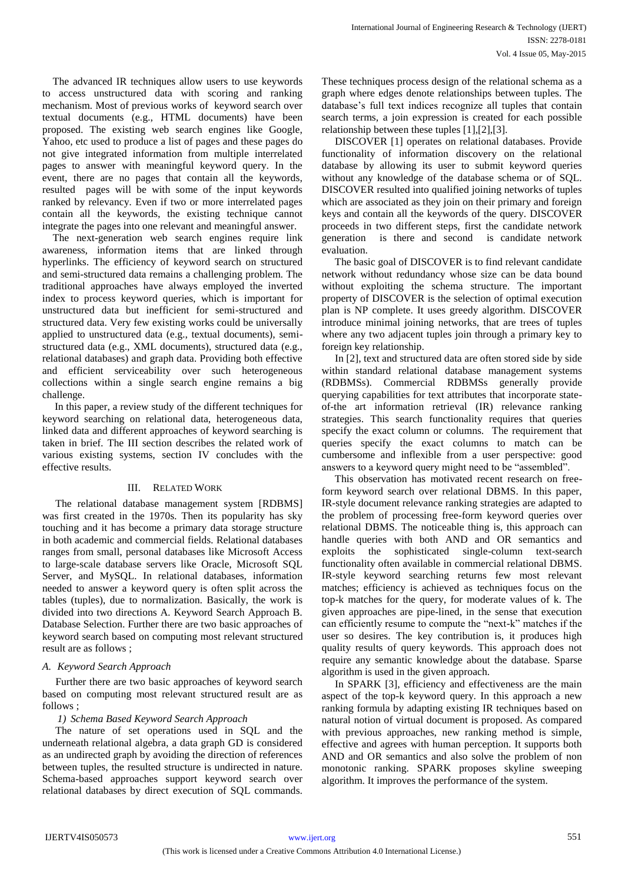The advanced IR techniques allow users to use keywords to access unstructured data with scoring and ranking mechanism. Most of previous works of keyword search over textual documents (e.g., HTML documents) have been proposed. The existing web search engines like Google, Yahoo, etc used to produce a list of pages and these pages do not give integrated information from multiple interrelated pages to answer with meaningful keyword query. In the event, there are no pages that contain all the keywords, resulted pages will be with some of the input keywords ranked by relevancy. Even if two or more interrelated pages contain all the keywords, the existing technique cannot integrate the pages into one relevant and meaningful answer.

 The next-generation web search engines require link awareness, information items that are linked through hyperlinks. The efficiency of keyword search on structured and semi-structured data remains a challenging problem. The traditional approaches have always employed the inverted index to process keyword queries, which is important for unstructured data but inefficient for semi-structured and structured data. Very few existing works could be universally applied to unstructured data (e.g., textual documents), semistructured data (e.g., XML documents), structured data (e.g., relational databases) and graph data. Providing both effective and efficient serviceability over such heterogeneous collections within a single search engine remains a big challenge.

In this paper, a review study of the different techniques for keyword searching on relational data, heterogeneous data, linked data and different approaches of keyword searching is taken in brief. The III section describes the related work of various existing systems, section IV concludes with the effective results.

# III. RELATED WORK

 The relational database management system [RDBMS] was first created in the 1970s. Then its popularity has sky touching and it has become a primary data storage structure in both academic and commercial fields. Relational databases ranges from small, personal databases like Microsoft Access to large-scale database servers like Oracle, Microsoft SQL Server, and MySQL. In relational databases, information needed to answer a keyword query is often split across the tables (tuples), due to normalization. Basically, the work is divided into two directions A. Keyword Search Approach B. Database Selection. Further there are two basic approaches of keyword search based on computing most relevant structured result are as follows ;

# *A. Keyword Search Approach*

 Further there are two basic approaches of keyword search based on computing most relevant structured result are as follows ;

# *1) Schema Based Keyword Search Approach*

 The nature of set operations used in SQL and the underneath relational algebra, a data graph GD is considered as an undirected graph by avoiding the direction of references between tuples, the resulted structure is undirected in nature. Schema-based approaches support keyword search over relational databases by direct execution of SQL commands.

These techniques process design of the relational schema as a graph where edges denote relationships between tuples. The database's full text indices recognize all tuples that contain search terms, a join expression is created for each possible relationship between these tuples [1],[2],[3].

 DISCOVER [1] operates on relational databases. Provide functionality of information discovery on the relational database by allowing its user to submit keyword queries without any knowledge of the database schema or of SQL. DISCOVER resulted into qualified joining networks of tuples which are associated as they join on their primary and foreign keys and contain all the keywords of the query. DISCOVER proceeds in two different steps, first the candidate network generation is there and second is candidate network evaluation.

 The basic goal of DISCOVER is to find relevant candidate network without redundancy whose size can be data bound without exploiting the schema structure. The important property of DISCOVER is the selection of optimal execution plan is NP complete. It uses greedy algorithm. DISCOVER introduce minimal joining networks, that are trees of tuples where any two adjacent tuples join through a primary key to foreign key relationship.

 In [2], text and structured data are often stored side by side within standard relational database management systems (RDBMSs). Commercial RDBMSs generally provide querying capabilities for text attributes that incorporate stateof-the art information retrieval (IR) relevance ranking strategies. This search functionality requires that queries specify the exact column or columns. The requirement that queries specify the exact columns to match can be cumbersome and inflexible from a user perspective: good answers to a keyword query might need to be "assembled".

 This observation has motivated recent research on freeform keyword search over relational DBMS. In this paper, IR-style document relevance ranking strategies are adapted to the problem of processing free-form keyword queries over relational DBMS. The noticeable thing is, this approach can handle queries with both AND and OR semantics and exploits the sophisticated single-column text-search functionality often available in commercial relational DBMS. IR-style keyword searching returns few most relevant matches; efficiency is achieved as techniques focus on the top-k matches for the query, for moderate values of k. The given approaches are pipe-lined, in the sense that execution can efficiently resume to compute the "next-k" matches if the user so desires. The key contribution is, it produces high quality results of query keywords. This approach does not require any semantic knowledge about the database. Sparse algorithm is used in the given approach.

In SPARK [3], efficiency and effectiveness are the main aspect of the top-k keyword query. In this approach a new ranking formula by adapting existing IR techniques based on natural notion of virtual document is proposed. As compared with previous approaches, new ranking method is simple, effective and agrees with human perception. It supports both AND and OR semantics and also solve the problem of non monotonic ranking. SPARK proposes skyline sweeping algorithm. It improves the performance of the system.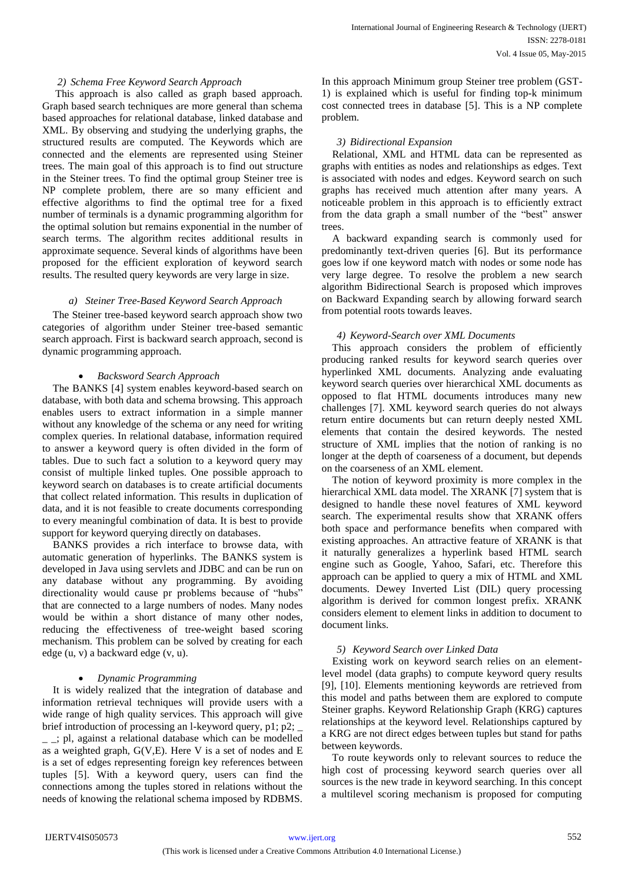# *2) Schema Free Keyword Search Approach*

 This approach is also called as graph based approach. Graph based search techniques are more general than schema based approaches for relational database, linked database and XML. By observing and studying the underlying graphs, the structured results are computed. The Keywords which are connected and the elements are represented using Steiner trees. The main goal of this approach is to find out structure in the Steiner trees. To find the optimal group Steiner tree is NP complete problem, there are so many efficient and effective algorithms to find the optimal tree for a fixed number of terminals is a dynamic programming algorithm for the optimal solution but remains exponential in the number of search terms. The algorithm recites additional results in approximate sequence. Several kinds of algorithms have been proposed for the efficient exploration of keyword search results. The resulted query keywords are very large in size.

#### *a) Steiner Tree-Based Keyword Search Approach*

 The Steiner tree-based keyword search approach show two categories of algorithm under Steiner tree-based semantic search approach. First is backward search approach, second is dynamic programming approach.

#### *Backsword Search Approach*

 The BANKS [4] system enables keyword-based search on database, with both data and schema browsing. This approach enables users to extract information in a simple manner without any knowledge of the schema or any need for writing complex queries. In relational database, information required to answer a keyword query is often divided in the form of tables. Due to such fact a solution to a keyword query may consist of multiple linked tuples. One possible approach to keyword search on databases is to create artificial documents that collect related information. This results in duplication of data, and it is not feasible to create documents corresponding to every meaningful combination of data. It is best to provide support for keyword querying directly on databases.

 BANKS provides a rich interface to browse data, with automatic generation of hyperlinks. The BANKS system is developed in Java using servlets and JDBC and can be run on any database without any programming. By avoiding directionality would cause pr problems because of "hubs" that are connected to a large numbers of nodes. Many nodes would be within a short distance of many other nodes, reducing the effectiveness of tree-weight based scoring mechanism. This problem can be solved by creating for each edge (u, v) a backward edge (v, u).

#### *Dynamic Programming*

 It is widely realized that the integration of database and information retrieval techniques will provide users with a wide range of high quality services. This approach will give brief introduction of processing an l-keyword query, p1; p2;  $\equiv$  ; pl, against a relational database which can be modelled as a weighted graph, G(V,E). Here V is a set of nodes and E is a set of edges representing foreign key references between tuples [5]. With a keyword query, users can find the connections among the tuples stored in relations without the needs of knowing the relational schema imposed by RDBMS.

In this approach Minimum group Steiner tree problem (GST-1) is explained which is useful for finding top-k minimum cost connected trees in database [5]. This is a NP complete problem.

#### *3) Bidirectional Expansion*

 Relational, XML and HTML data can be represented as graphs with entities as nodes and relationships as edges. Text is associated with nodes and edges. Keyword search on such graphs has received much attention after many years. A noticeable problem in this approach is to efficiently extract from the data graph a small number of the "best" answer trees.

 A backward expanding search is commonly used for predominantly text-driven queries [6]. But its performance goes low if one keyword match with nodes or some node has very large degree. To resolve the problem a new search algorithm Bidirectional Search is proposed which improves on Backward Expanding search by allowing forward search from potential roots towards leaves.

#### *4) Keyword-Search over XML Documents*

 This approach considers the problem of efficiently producing ranked results for keyword search queries over hyperlinked XML documents. Analyzing ande evaluating keyword search queries over hierarchical XML documents as opposed to flat HTML documents introduces many new challenges [7]. XML keyword search queries do not always return entire documents but can return deeply nested XML elements that contain the desired keywords. The nested structure of XML implies that the notion of ranking is no longer at the depth of coarseness of a document, but depends on the coarseness of an XML element.

 The notion of keyword proximity is more complex in the hierarchical XML data model. The XRANK [7] system that is designed to handle these novel features of XML keyword search. The experimental results show that XRANK offers both space and performance benefits when compared with existing approaches. An attractive feature of XRANK is that it naturally generalizes a hyperlink based HTML search engine such as Google, Yahoo, Safari, etc. Therefore this approach can be applied to query a mix of HTML and XML documents. Dewey Inverted List (DIL) query processing algorithm is derived for common longest prefix. XRANK considers element to element links in addition to document to document links.

# *5) Keyword Search over Linked Data*

 Existing work on keyword search relies on an elementlevel model (data graphs) to compute keyword query results [9], [10]. Elements mentioning keywords are retrieved from this model and paths between them are explored to compute Steiner graphs. Keyword Relationship Graph (KRG) captures relationships at the keyword level. Relationships captured by a KRG are not direct edges between tuples but stand for paths between keywords.

 To route keywords only to relevant sources to reduce the high cost of processing keyword search queries over all sources is the new trade in keyword searching. In this concept a multilevel scoring mechanism is proposed for computing